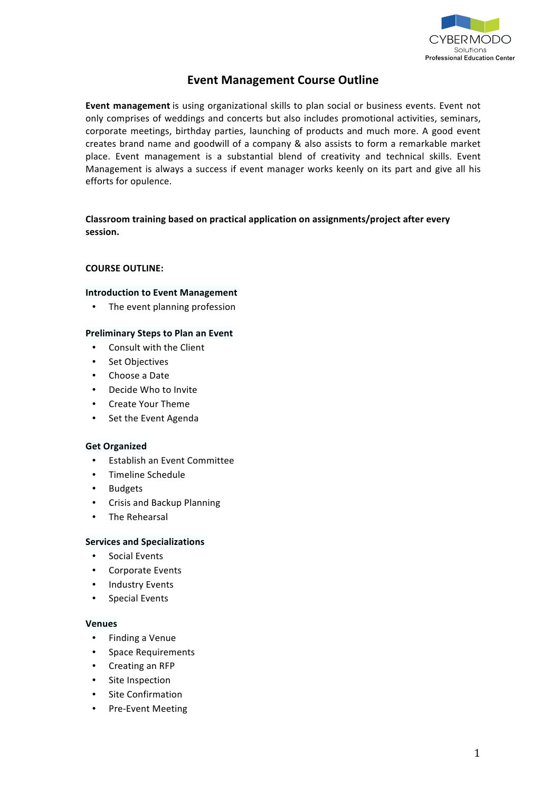

# **Event Management Course Outline**

Event management is using organizational skills to plan social or business events. Event not only comprises of weddings and concerts but also includes promotional activities, seminars, corporate meetings, birthday parties, launching of products and much more. A good event creates brand name and goodwill of a company & also assists to form a remarkable market place. Event management is a substantial blend of creativity and technical skills. Event Management is always a success if event manager works keenly on its part and give all his efforts for opulence.

# **Classroom training based on practical application on assignments/project after every session.&**

#### **COURSE OUTLINE:**

## **Introduction to Event Management**

• The event planning profession

# **Preliminary Steps to Plan an Event**

- Consult with the Client
- Set Objectives
- Choose a Date
- Decide Who to Invite
- **Create Your Theme**
- Set the Event Agenda

#### **Get Organized**

- Establish an Event Committee
- Timeline Schedule
- **Budgets**
- Crisis and Backup Planning
- The Rehearsal

#### **Services and Specializations**

- Social Events
- Corporate Events
- Industry Events
- Special Events

#### **Venues**

- Finding a Venue
- Space Requirements
- Creating an RFP
- Site Inspection
- **Site Confirmation**
- Pre-Event Meeting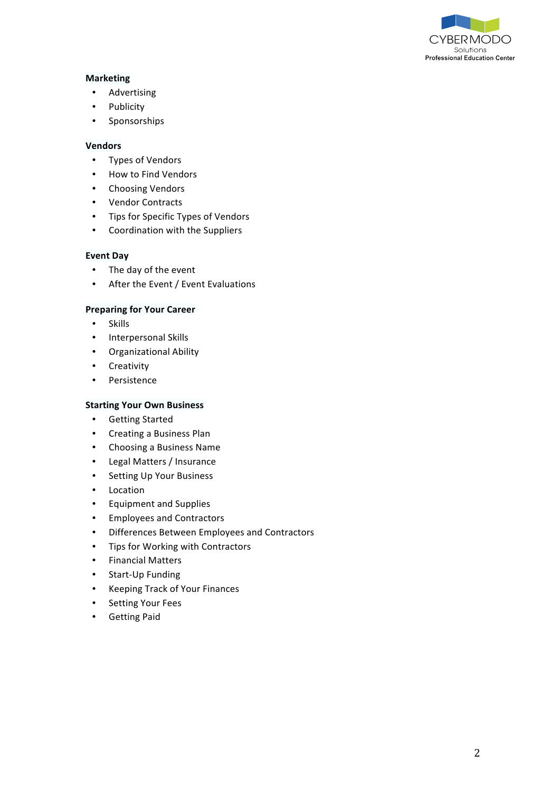

# **Marketing**

- Advertising
- **Publicity**
- Sponsorships

#### **Vendors**

- Types of Vendors
- How to Find Vendors
- Choosing Vendors
- Vendor Contracts
- Tips for Specific Types of Vendors
- Coordination with the Suppliers

#### **Event Day**

- The day of the event
- After the Event / Event Evaluations

#### **Preparing for Your Career**

- Skills
- Interpersonal Skills
- Organizational Ability
- Creativity
- Persistence

#### **Starting Your Own Business**

- Getting Started
- Creating a Business Plan
- Choosing a Business Name
- Legal Matters / Insurance
- Setting Up Your Business
- Location
- Equipment and Supplies
- Employees and Contractors
- Differences Between Employees and Contractors
- Tips for Working with Contractors
- Financial Matters
- Start-Up Funding
- Keeping Track of Your Finances
- Setting Your Fees
- **Getting Paid**